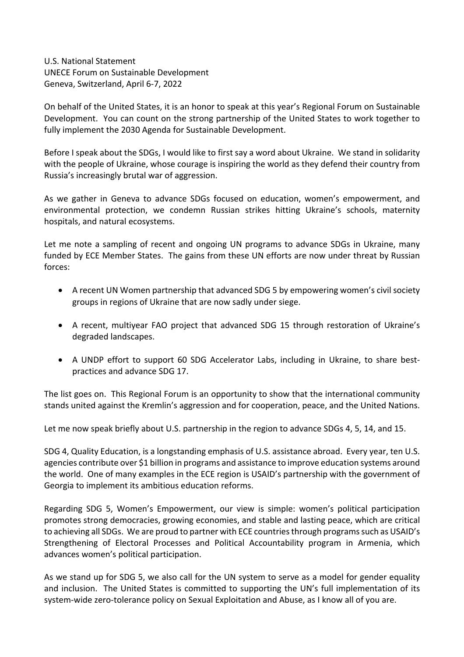U.S. National Statement UNECE Forum on Sustainable Development Geneva, Switzerland, April 6-7, 2022

On behalf of the United States, it is an honor to speak at this year's Regional Forum on Sustainable Development. You can count on the strong partnership of the United States to work together to fully implement the 2030 Agenda for Sustainable Development.

Before I speak about the SDGs, I would like to first say a word about Ukraine. We stand in solidarity with the people of Ukraine, whose courage is inspiring the world as they defend their country from Russia's increasingly brutal war of aggression.

As we gather in Geneva to advance SDGs focused on education, women's empowerment, and environmental protection, we condemn Russian strikes hitting Ukraine's schools, maternity hospitals, and natural ecosystems.

Let me note a sampling of recent and ongoing UN programs to advance SDGs in Ukraine, many funded by ECE Member States. The gains from these UN efforts are now under threat by Russian forces:

- A recent UN Women partnership that advanced SDG 5 by empowering women's civil society groups in regions of Ukraine that are now sadly under siege.
- A recent, multiyear FAO project that advanced SDG 15 through restoration of Ukraine's degraded landscapes.
- A UNDP effort to support 60 SDG Accelerator Labs, including in Ukraine, to share bestpractices and advance SDG 17.

The list goes on. This Regional Forum is an opportunity to show that the international community stands united against the Kremlin's aggression and for cooperation, peace, and the United Nations.

Let me now speak briefly about U.S. partnership in the region to advance SDGs 4, 5, 14, and 15.

SDG 4, Quality Education, is a longstanding emphasis of U.S. assistance abroad. Every year, ten U.S. agencies contribute over \$1 billion in programs and assistance to improve education systems around the world. One of many examples in the ECE region is USAID's partnership with the government of Georgia to implement its ambitious education reforms.

Regarding SDG 5, Women's Empowerment, our view is simple: women's political participation promotes strong democracies, growing economies, and stable and lasting peace, which are critical to achieving all SDGs. We are proud to partner with ECE countries through programs such as USAID's Strengthening of Electoral Processes and Political Accountability program in Armenia, which advances women's political participation.

As we stand up for SDG 5, we also call for the UN system to serve as a model for gender equality and inclusion. The United States is committed to supporting the UN's full implementation of its system-wide zero-tolerance policy on Sexual Exploitation and Abuse, as I know all of you are.